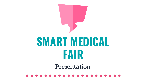# **SMART MEDICAL FAIR Presentation**



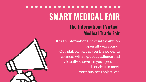## **SMART MEDICAL FAIR The International Virtual Medical Trade Fair** It is an international virtual exhibition open all year round. Our platform gives you the power to connect with a **global audience** and virtually showcase your products and services to meet

- -
	-
	- - -
			-



your business objectives.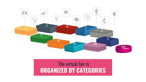

## **ORGANIZED BY CATEGORIES** The virtual fair is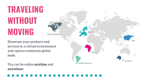# **TRAVELING WITHOUT MOVING**

Europe North America Showcase your products and services in a virtual environment and capture maximum global

leads.

You can be online **anytime** and **anywhere**.



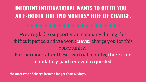# **INFODENT INTERNATIONAL WANTS TO OFFER YOU AN E-BOOTH FOR TWO MONTHS\* FREE OF CHARGE.**

We are glad to support your company during this difficult period and we won't **never** charge you for this opportunity. Furthermore, after these two trial months, **there is no mandatory paid renewal requested**.

**\*the offer free of charge lasts no longer than 60 days.**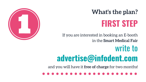write to **advertise@infodent.com** If you are interested in booking an E-booth in the **Smart Medical Fair** and you will have it **free of charge** for two months!





# **What's the plan? FIRST STEP**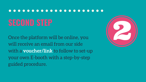# 

Once the platform will be online, you will receive an email from our side with a **voucher/link** to follow to set-up your own E-booth with a step-by-step guided procedure.





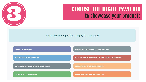

## **CHOOSE THE RIGHT PAVILION** to showcase your products

## Please choose the pavilion category for your stand



**LABORATORY EQUIPMENT, DIAGNOSTIC TEST** 

ELECTROMEDICAL EQUIPMENT, X-RAY, MEDICAL TECHNOLOGY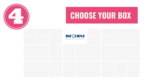



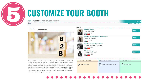

## **CUSTOMIZE YOUR BOOTH**

## **PAVILION 1/ DENTAL TECHNOLOGY** SMART MEDICAL FAIR

**INFODENT Infodent srl** B

Do you think is hard to find distributors? Think again. Since 1994, Infodent & Infomedix International help dental and medical companies worldwide finding new distributors and expanding their business abroad. We publish international magazines, offer marketing and web services, attend the main trade shows in 5 continents just to help companies growing, going over their borders. For customized solutions or further information, please ask the Infodent & Infomedix International consultant team: they are always ready to support you! Different markets mean different chances. Don't limit your success, think bold and go global. We design solutions to support your export in 189 Countries

## **JOIN US**



**Marketing Ma** Riccardo I Spoken langua **SKITE** 



**Marketing Cor** Ilaria Cecc Spoken languag<br>AK



**Marketing Cor** Claudia Pr Spoken languag<br>EK



**Exhibition Mar** Cristina Ga Spoken languag<br>EK

**RESOURCES** 





|                                                                 | Log-in $\bigtriangledown$ |
|-----------------------------------------------------------------|---------------------------|
|                                                                 | ← Back to PAVILION 1      |
| nager                                                           |                           |
| <b>Bonati</b><br>ges:                                           | Contact                   |
| nsultant & Social Media Manager<br>cariglia<br>ges:             | Contact                   |
| <b>nsultant &amp; Press Officer</b><br>roietti Ragonesi<br>ges: | Contact                   |
| nager<br>arbuglia<br>ges:                                       | Contact                   |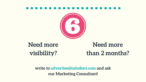



## visibility? **Need more**

## than 2 months? **Need more**

**write to advertise@infodent.com and ask our Marketing Consultant!**